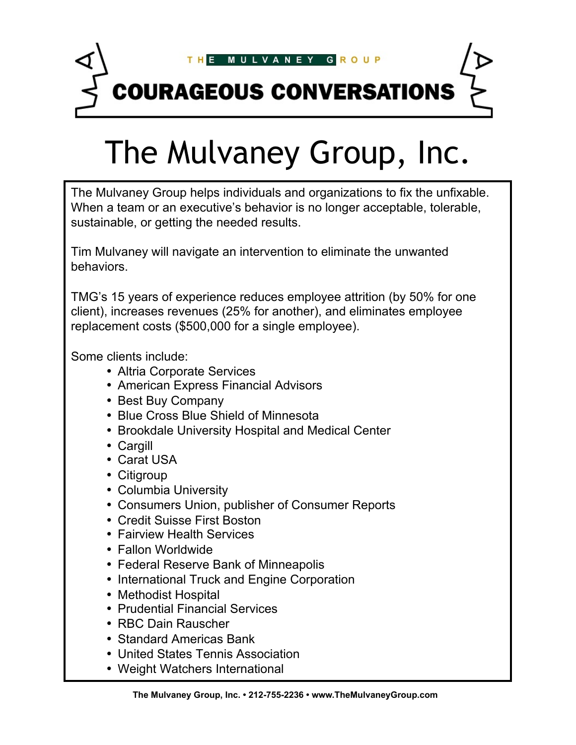

# The Mulvaney Group, Inc.

The Mulvaney Group helps individuals and organizations to fix the unfixable. When a team or an executive's behavior is no longer acceptable, tolerable, sustainable, or getting the needed results.

Tim Mulvaney will navigate an intervention to eliminate the unwanted behaviors.

TMG's 15 years of experience reduces employee attrition (by 50% for one client), increases revenues (25% for another), and eliminates employee replacement costs (\$500,000 for a single employee).

Some clients include:

- Altria Corporate Services
- American Express Financial Advisors
- Best Buy Company
- Blue Cross Blue Shield of Minnesota
- Brookdale University Hospital and Medical Center
- Cargill
- Carat USA
- Citigroup
- Columbia University
- Consumers Union, publisher of Consumer Reports
- Credit Suisse First Boston
- Fairview Health Services
- Fallon Worldwide
- Federal Reserve Bank of Minneapolis
- International Truck and Engine Corporation
- Methodist Hospital
- Prudential Financial Services
- RBC Dain Rauscher
- Standard Americas Bank
- United States Tennis Association
- Weight Watchers International